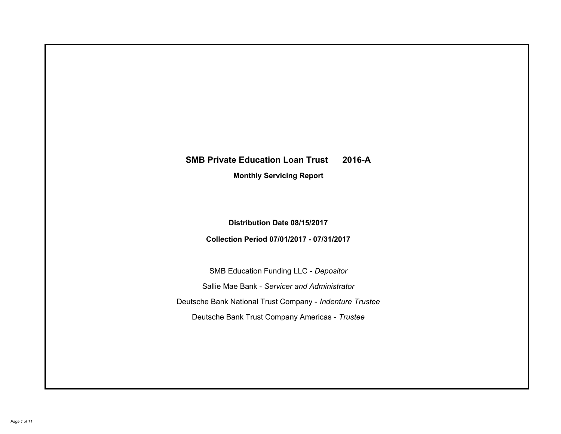# **SMB Private Education Loan Trust 2016-A Monthly Servicing Report**

**Distribution Date 08/15/2017**

**Collection Period 07/01/2017 - 07/31/2017**

SMB Education Funding LLC - *Depositor* Sallie Mae Bank - *Servicer and Administrator* Deutsche Bank National Trust Company - *Indenture Trustee* Deutsche Bank Trust Company Americas - *Trustee*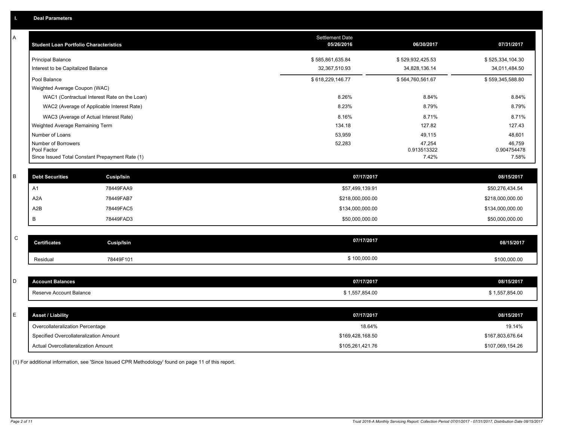| Α           | <b>Student Loan Portfolio Characteristics</b>   |                   | <b>Settlement Date</b><br>05/26/2016 | 06/30/2017            | 07/31/2017            |
|-------------|-------------------------------------------------|-------------------|--------------------------------------|-----------------------|-----------------------|
|             | <b>Principal Balance</b>                        |                   | \$585,861,635.84                     | \$529,932,425.53      | \$525,334,104.30      |
|             | Interest to be Capitalized Balance              |                   | 32,367,510.93                        | 34,828,136.14         | 34,011,484.50         |
|             | Pool Balance                                    |                   | \$618,229,146.77                     | \$564,760,561.67      | \$559,345,588.80      |
|             | Weighted Average Coupon (WAC)                   |                   |                                      |                       |                       |
|             | WAC1 (Contractual Interest Rate on the Loan)    |                   | 8.26%                                | 8.84%                 | 8.84%                 |
|             | WAC2 (Average of Applicable Interest Rate)      |                   | 8.23%                                | 8.79%                 | 8.79%                 |
|             | WAC3 (Average of Actual Interest Rate)          |                   | 8.16%                                | 8.71%                 | 8.71%                 |
|             | Weighted Average Remaining Term                 |                   | 134.18                               | 127.82                | 127.43                |
|             | Number of Loans                                 |                   | 53,959                               | 49,115                | 48,601                |
|             | Number of Borrowers<br>Pool Factor              |                   | 52,283                               | 47,254<br>0.913513322 | 46,759<br>0.904754478 |
|             | Since Issued Total Constant Prepayment Rate (1) |                   |                                      | 7.42%                 | 7.58%                 |
|             |                                                 |                   |                                      |                       |                       |
| B           | <b>Debt Securities</b>                          | Cusip/Isin        | 07/17/2017                           |                       | 08/15/2017            |
|             | A <sub>1</sub>                                  | 78449FAA9         | \$57,499,139.91                      |                       | \$50,276,434.54       |
|             | A <sub>2</sub> A                                | 78449FAB7         | \$218,000,000.00                     |                       | \$218,000,000.00      |
|             | A2B                                             | 78449FAC5         | \$134,000,000.00                     |                       | \$134,000,000.00      |
|             | В                                               | 78449FAD3         | \$50,000,000.00                      |                       | \$50,000,000.00       |
|             |                                                 |                   |                                      |                       |                       |
| $\mathbf C$ | <b>Certificates</b>                             | <b>Cusip/Isin</b> | 07/17/2017                           |                       | 08/15/2017            |
|             | Residual                                        | 78449F101         | \$100,000.00                         |                       | \$100,000.00          |
|             |                                                 |                   |                                      |                       |                       |
| D           | <b>Account Balances</b>                         |                   | 07/17/2017                           |                       | 08/15/2017            |
|             | Reserve Account Balance                         |                   | \$1,557,854.00                       |                       | \$1,557,854.00        |
|             |                                                 |                   |                                      |                       |                       |
| E           | <b>Asset / Liability</b>                        |                   | 07/17/2017                           |                       | 08/15/2017            |
|             | Overcollateralization Percentage                |                   | 18.64%                               |                       | 19.14%                |
|             | Specified Overcollateralization Amount          |                   | \$169,428,168.50                     |                       | \$167,803,676.64      |
|             | Actual Overcollateralization Amount             |                   | \$105,261,421.76                     |                       | \$107,069,154.26      |

(1) For additional information, see 'Since Issued CPR Methodology' found on page 11 of this report.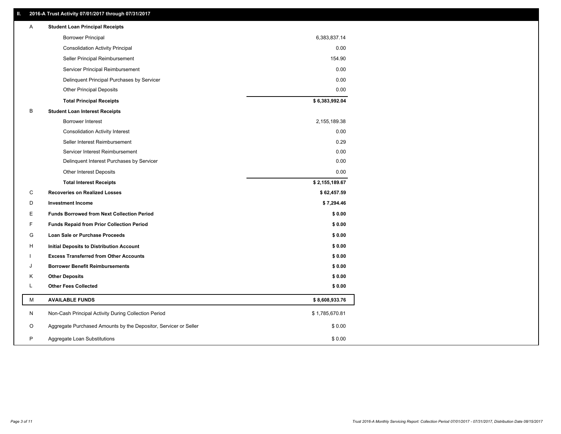## **II. 2016-A Trust Activity 07/01/2017 through 07/31/2017**

| <b>Borrower Principal</b><br>6,383,837.14<br><b>Consolidation Activity Principal</b><br>0.00<br>154.90<br>Seller Principal Reimbursement<br>0.00<br>Servicer Principal Reimbursement<br>Delinquent Principal Purchases by Servicer<br>0.00<br><b>Other Principal Deposits</b><br>0.00<br>\$6,383,992.04<br><b>Total Principal Receipts</b><br>B<br><b>Student Loan Interest Receipts</b><br><b>Borrower Interest</b><br>2,155,189.38<br>0.00<br><b>Consolidation Activity Interest</b><br>0.29<br>Seller Interest Reimbursement<br>0.00<br>Servicer Interest Reimbursement<br>0.00<br>Delinquent Interest Purchases by Servicer<br><b>Other Interest Deposits</b><br>0.00<br>\$2,155,189.67<br><b>Total Interest Receipts</b><br>C<br><b>Recoveries on Realized Losses</b><br>\$62,457.59<br>D<br><b>Investment Income</b><br>\$7,294.46<br>E<br><b>Funds Borrowed from Next Collection Period</b><br>\$0.00<br>F<br>\$0.00<br><b>Funds Repaid from Prior Collection Period</b><br>G<br>\$0.00<br>Loan Sale or Purchase Proceeds<br>\$0.00<br>H<br>Initial Deposits to Distribution Account<br>\$0.00<br><b>Excess Transferred from Other Accounts</b><br><b>Borrower Benefit Reimbursements</b><br>\$0.00<br>J<br><b>Other Deposits</b><br>\$0.00<br>Κ<br>L<br><b>Other Fees Collected</b><br>\$0.00<br>М<br><b>AVAILABLE FUNDS</b><br>\$8,608,933.76<br>N<br>Non-Cash Principal Activity During Collection Period<br>\$1,785,670.81<br>O<br>Aggregate Purchased Amounts by the Depositor, Servicer or Seller<br>\$0.00<br>P<br>\$0.00<br>Aggregate Loan Substitutions | Α | <b>Student Loan Principal Receipts</b> |  |
|-------------------------------------------------------------------------------------------------------------------------------------------------------------------------------------------------------------------------------------------------------------------------------------------------------------------------------------------------------------------------------------------------------------------------------------------------------------------------------------------------------------------------------------------------------------------------------------------------------------------------------------------------------------------------------------------------------------------------------------------------------------------------------------------------------------------------------------------------------------------------------------------------------------------------------------------------------------------------------------------------------------------------------------------------------------------------------------------------------------------------------------------------------------------------------------------------------------------------------------------------------------------------------------------------------------------------------------------------------------------------------------------------------------------------------------------------------------------------------------------------------------------------------------------------------------------------|---|----------------------------------------|--|
|                                                                                                                                                                                                                                                                                                                                                                                                                                                                                                                                                                                                                                                                                                                                                                                                                                                                                                                                                                                                                                                                                                                                                                                                                                                                                                                                                                                                                                                                                                                                                                         |   |                                        |  |
|                                                                                                                                                                                                                                                                                                                                                                                                                                                                                                                                                                                                                                                                                                                                                                                                                                                                                                                                                                                                                                                                                                                                                                                                                                                                                                                                                                                                                                                                                                                                                                         |   |                                        |  |
|                                                                                                                                                                                                                                                                                                                                                                                                                                                                                                                                                                                                                                                                                                                                                                                                                                                                                                                                                                                                                                                                                                                                                                                                                                                                                                                                                                                                                                                                                                                                                                         |   |                                        |  |
|                                                                                                                                                                                                                                                                                                                                                                                                                                                                                                                                                                                                                                                                                                                                                                                                                                                                                                                                                                                                                                                                                                                                                                                                                                                                                                                                                                                                                                                                                                                                                                         |   |                                        |  |
|                                                                                                                                                                                                                                                                                                                                                                                                                                                                                                                                                                                                                                                                                                                                                                                                                                                                                                                                                                                                                                                                                                                                                                                                                                                                                                                                                                                                                                                                                                                                                                         |   |                                        |  |
|                                                                                                                                                                                                                                                                                                                                                                                                                                                                                                                                                                                                                                                                                                                                                                                                                                                                                                                                                                                                                                                                                                                                                                                                                                                                                                                                                                                                                                                                                                                                                                         |   |                                        |  |
|                                                                                                                                                                                                                                                                                                                                                                                                                                                                                                                                                                                                                                                                                                                                                                                                                                                                                                                                                                                                                                                                                                                                                                                                                                                                                                                                                                                                                                                                                                                                                                         |   |                                        |  |
|                                                                                                                                                                                                                                                                                                                                                                                                                                                                                                                                                                                                                                                                                                                                                                                                                                                                                                                                                                                                                                                                                                                                                                                                                                                                                                                                                                                                                                                                                                                                                                         |   |                                        |  |
|                                                                                                                                                                                                                                                                                                                                                                                                                                                                                                                                                                                                                                                                                                                                                                                                                                                                                                                                                                                                                                                                                                                                                                                                                                                                                                                                                                                                                                                                                                                                                                         |   |                                        |  |
|                                                                                                                                                                                                                                                                                                                                                                                                                                                                                                                                                                                                                                                                                                                                                                                                                                                                                                                                                                                                                                                                                                                                                                                                                                                                                                                                                                                                                                                                                                                                                                         |   |                                        |  |
|                                                                                                                                                                                                                                                                                                                                                                                                                                                                                                                                                                                                                                                                                                                                                                                                                                                                                                                                                                                                                                                                                                                                                                                                                                                                                                                                                                                                                                                                                                                                                                         |   |                                        |  |
|                                                                                                                                                                                                                                                                                                                                                                                                                                                                                                                                                                                                                                                                                                                                                                                                                                                                                                                                                                                                                                                                                                                                                                                                                                                                                                                                                                                                                                                                                                                                                                         |   |                                        |  |
|                                                                                                                                                                                                                                                                                                                                                                                                                                                                                                                                                                                                                                                                                                                                                                                                                                                                                                                                                                                                                                                                                                                                                                                                                                                                                                                                                                                                                                                                                                                                                                         |   |                                        |  |
|                                                                                                                                                                                                                                                                                                                                                                                                                                                                                                                                                                                                                                                                                                                                                                                                                                                                                                                                                                                                                                                                                                                                                                                                                                                                                                                                                                                                                                                                                                                                                                         |   |                                        |  |
|                                                                                                                                                                                                                                                                                                                                                                                                                                                                                                                                                                                                                                                                                                                                                                                                                                                                                                                                                                                                                                                                                                                                                                                                                                                                                                                                                                                                                                                                                                                                                                         |   |                                        |  |
|                                                                                                                                                                                                                                                                                                                                                                                                                                                                                                                                                                                                                                                                                                                                                                                                                                                                                                                                                                                                                                                                                                                                                                                                                                                                                                                                                                                                                                                                                                                                                                         |   |                                        |  |
|                                                                                                                                                                                                                                                                                                                                                                                                                                                                                                                                                                                                                                                                                                                                                                                                                                                                                                                                                                                                                                                                                                                                                                                                                                                                                                                                                                                                                                                                                                                                                                         |   |                                        |  |
|                                                                                                                                                                                                                                                                                                                                                                                                                                                                                                                                                                                                                                                                                                                                                                                                                                                                                                                                                                                                                                                                                                                                                                                                                                                                                                                                                                                                                                                                                                                                                                         |   |                                        |  |
|                                                                                                                                                                                                                                                                                                                                                                                                                                                                                                                                                                                                                                                                                                                                                                                                                                                                                                                                                                                                                                                                                                                                                                                                                                                                                                                                                                                                                                                                                                                                                                         |   |                                        |  |
|                                                                                                                                                                                                                                                                                                                                                                                                                                                                                                                                                                                                                                                                                                                                                                                                                                                                                                                                                                                                                                                                                                                                                                                                                                                                                                                                                                                                                                                                                                                                                                         |   |                                        |  |
|                                                                                                                                                                                                                                                                                                                                                                                                                                                                                                                                                                                                                                                                                                                                                                                                                                                                                                                                                                                                                                                                                                                                                                                                                                                                                                                                                                                                                                                                                                                                                                         |   |                                        |  |
|                                                                                                                                                                                                                                                                                                                                                                                                                                                                                                                                                                                                                                                                                                                                                                                                                                                                                                                                                                                                                                                                                                                                                                                                                                                                                                                                                                                                                                                                                                                                                                         |   |                                        |  |
|                                                                                                                                                                                                                                                                                                                                                                                                                                                                                                                                                                                                                                                                                                                                                                                                                                                                                                                                                                                                                                                                                                                                                                                                                                                                                                                                                                                                                                                                                                                                                                         |   |                                        |  |
|                                                                                                                                                                                                                                                                                                                                                                                                                                                                                                                                                                                                                                                                                                                                                                                                                                                                                                                                                                                                                                                                                                                                                                                                                                                                                                                                                                                                                                                                                                                                                                         |   |                                        |  |
|                                                                                                                                                                                                                                                                                                                                                                                                                                                                                                                                                                                                                                                                                                                                                                                                                                                                                                                                                                                                                                                                                                                                                                                                                                                                                                                                                                                                                                                                                                                                                                         |   |                                        |  |
|                                                                                                                                                                                                                                                                                                                                                                                                                                                                                                                                                                                                                                                                                                                                                                                                                                                                                                                                                                                                                                                                                                                                                                                                                                                                                                                                                                                                                                                                                                                                                                         |   |                                        |  |
|                                                                                                                                                                                                                                                                                                                                                                                                                                                                                                                                                                                                                                                                                                                                                                                                                                                                                                                                                                                                                                                                                                                                                                                                                                                                                                                                                                                                                                                                                                                                                                         |   |                                        |  |
|                                                                                                                                                                                                                                                                                                                                                                                                                                                                                                                                                                                                                                                                                                                                                                                                                                                                                                                                                                                                                                                                                                                                                                                                                                                                                                                                                                                                                                                                                                                                                                         |   |                                        |  |
|                                                                                                                                                                                                                                                                                                                                                                                                                                                                                                                                                                                                                                                                                                                                                                                                                                                                                                                                                                                                                                                                                                                                                                                                                                                                                                                                                                                                                                                                                                                                                                         |   |                                        |  |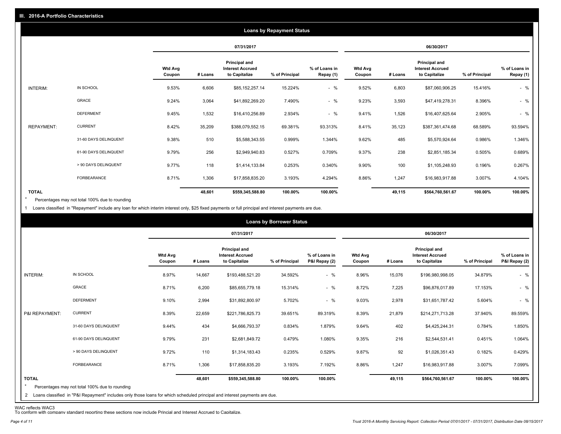|                   |                       |                          |         |                                                           | <b>Loans by Repayment Status</b> |                            |                          |         |                                                                  |                |                            |
|-------------------|-----------------------|--------------------------|---------|-----------------------------------------------------------|----------------------------------|----------------------------|--------------------------|---------|------------------------------------------------------------------|----------------|----------------------------|
|                   |                       |                          |         | 07/31/2017                                                |                                  |                            |                          |         | 06/30/2017                                                       |                |                            |
|                   |                       | <b>Wtd Avg</b><br>Coupon | # Loans | Principal and<br><b>Interest Accrued</b><br>to Capitalize | % of Principal                   | % of Loans in<br>Repay (1) | <b>Wtd Avg</b><br>Coupon | # Loans | <b>Principal and</b><br><b>Interest Accrued</b><br>to Capitalize | % of Principal | % of Loans in<br>Repay (1) |
| INTERIM:          | IN SCHOOL             | 9.53%                    | 6,606   | \$85,152,257.14                                           | 15.224%                          | $-$ %                      | 9.52%                    | 6,803   | \$87,060,906.25                                                  | 15.416%        | $-$ %                      |
|                   | GRACE                 | 9.24%                    | 3,064   | \$41,892,269.20                                           | 7.490%                           | $-$ %                      | 9.23%                    | 3,593   | \$47,419,278.31                                                  | 8.396%         | $-$ %                      |
|                   | <b>DEFERMENT</b>      | 9.45%                    | 1,532   | \$16,410,256.89                                           | 2.934%                           | $-$ %                      | 9.41%                    | 1,526   | \$16,407,625.64                                                  | 2.905%         | $-$ %                      |
| <b>REPAYMENT:</b> | <b>CURRENT</b>        | 8.42%                    | 35,209  | \$388,079,552.15                                          | 69.381%                          | 93.313%                    | 8.41%                    | 35,123  | \$387,361,474.68                                                 | 68.589%        | 93.594%                    |
|                   | 31-60 DAYS DELINQUENT | 9.38%                    | 510     | \$5,588,343.55                                            | 0.999%                           | 1.344%                     | 9.62%                    | 485     | \$5,570,924.64                                                   | 0.986%         | 1.346%                     |
|                   | 61-90 DAYS DELINQUENT | 9.79%                    | 256     | \$2,949,940.83                                            | 0.527%                           | 0.709%                     | 9.37%                    | 238     | \$2,851,185.34                                                   | 0.505%         | 0.689%                     |
|                   | > 90 DAYS DELINQUENT  | 9.77%                    | 118     | \$1,414,133.84                                            | 0.253%                           | 0.340%                     | 9.90%                    | 100     | \$1,105,248.93                                                   | 0.196%         | 0.267%                     |
|                   | <b>FORBEARANCE</b>    | 8.71%                    | 1,306   | \$17,858,835.20                                           | 3.193%                           | 4.294%                     | 8.86%                    | 1,247   | \$16,983,917.88                                                  | 3.007%         | 4.104%                     |
| <b>TOTAL</b>      |                       |                          | 48,601  | \$559,345,588.80                                          | 100.00%                          | 100.00%                    |                          | 49,115  | \$564,760,561.67                                                 | 100.00%        | 100.00%                    |

Percentages may not total 100% due to rounding \*

1 Loans classified in "Repayment" include any loan for which interim interest only, \$25 fixed payments or full principal and interest payments are due.

|                         |                                                                                                                              |                          |         |                                                           | <b>Loans by Borrower Status</b> |                                |                          |         |                                                           |                |                                |
|-------------------------|------------------------------------------------------------------------------------------------------------------------------|--------------------------|---------|-----------------------------------------------------------|---------------------------------|--------------------------------|--------------------------|---------|-----------------------------------------------------------|----------------|--------------------------------|
|                         |                                                                                                                              |                          |         | 07/31/2017                                                |                                 |                                |                          |         | 06/30/2017                                                |                |                                |
|                         |                                                                                                                              | <b>Wtd Avg</b><br>Coupon | # Loans | Principal and<br><b>Interest Accrued</b><br>to Capitalize | % of Principal                  | % of Loans in<br>P&I Repay (2) | <b>Wtd Avg</b><br>Coupon | # Loans | Principal and<br><b>Interest Accrued</b><br>to Capitalize | % of Principal | % of Loans in<br>P&I Repay (2) |
| INTERIM:                | IN SCHOOL                                                                                                                    | 8.97%                    | 14,667  | \$193,488,521.20                                          | 34.592%                         | $-$ %                          | 8.96%                    | 15,076  | \$196,980,998.05                                          | 34.879%        | $-$ %                          |
|                         | <b>GRACE</b>                                                                                                                 | 8.71%                    | 6,200   | \$85,655,779.18                                           | 15.314%                         | $-$ %                          | 8.72%                    | 7,225   | \$96,876,017.89                                           | 17.153%        | $-$ %                          |
|                         | <b>DEFERMENT</b>                                                                                                             | 9.10%                    | 2,994   | \$31,892,800.97                                           | 5.702%                          | $-$ %                          | 9.03%                    | 2,978   | \$31,651,787.42                                           | 5.604%         | $-$ %                          |
| P&I REPAYMENT:          | <b>CURRENT</b>                                                                                                               | 8.39%                    | 22,659  | \$221,786,825.73                                          | 39.651%                         | 89.319%                        | 8.39%                    | 21,879  | \$214,271,713.28                                          | 37.940%        | 89.559%                        |
|                         | 31-60 DAYS DELINQUENT                                                                                                        | 9.44%                    | 434     | \$4,666,793.37                                            | 0.834%                          | 1.879%                         | 9.64%                    | 402     | \$4,425,244.31                                            | 0.784%         | 1.850%                         |
|                         | 61-90 DAYS DELINQUENT                                                                                                        | 9.79%                    | 231     | \$2,681,849.72                                            | 0.479%                          | 1.080%                         | 9.35%                    | 216     | \$2,544,531.41                                            | 0.451%         | 1.064%                         |
|                         | > 90 DAYS DELINQUENT                                                                                                         | 9.72%                    | 110     | \$1,314,183.43                                            | 0.235%                          | 0.529%                         | 9.87%                    | 92      | \$1,026,351.43                                            | 0.182%         | 0.429%                         |
|                         | FORBEARANCE                                                                                                                  | 8.71%                    | 1,306   | \$17,858,835.20                                           | 3.193%                          | 7.192%                         | 8.86%                    | 1,247   | \$16,983,917.88                                           | 3.007%         | 7.099%                         |
| <b>TOTAL</b><br>$\star$ | Percentages may not total 100% due to rounding                                                                               |                          | 48,601  | \$559,345,588.80                                          | 100.00%                         | 100.00%                        |                          | 49,115  | \$564,760,561.67                                          | 100.00%        | 100.00%                        |
|                         | 2 Loans classified in "P&I Repayment" includes only those loans for which scheduled principal and interest payments are due. |                          |         |                                                           |                                 |                                |                          |         |                                                           |                |                                |

WAC reflects WAC3 To conform with company standard reporting these sections now include Princial and Interest Accrued to Capitalize.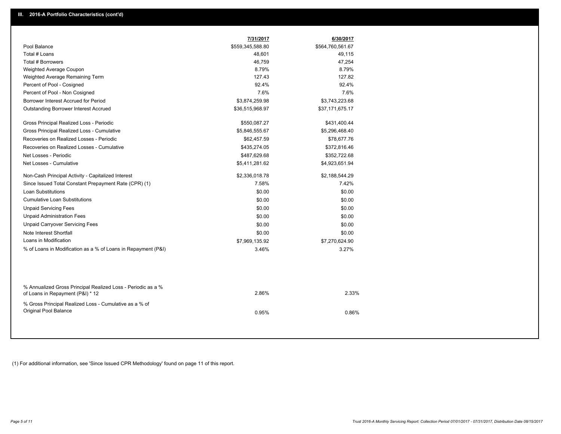|                                                                                                  | 7/31/2017        | 6/30/2017        |  |
|--------------------------------------------------------------------------------------------------|------------------|------------------|--|
| Pool Balance                                                                                     | \$559,345,588.80 | \$564,760,561.67 |  |
| Total # Loans                                                                                    | 48,601           | 49,115           |  |
| Total # Borrowers                                                                                | 46,759           | 47,254           |  |
| Weighted Average Coupon                                                                          | 8.79%            | 8.79%            |  |
| Weighted Average Remaining Term                                                                  | 127.43           | 127.82           |  |
| Percent of Pool - Cosigned                                                                       | 92.4%            | 92.4%            |  |
| Percent of Pool - Non Cosigned                                                                   | 7.6%             | 7.6%             |  |
| Borrower Interest Accrued for Period                                                             | \$3,874,259.98   | \$3,743,223.68   |  |
| Outstanding Borrower Interest Accrued                                                            | \$36,515,968.97  | \$37,171,675.17  |  |
| Gross Principal Realized Loss - Periodic                                                         | \$550,087.27     | \$431,400.44     |  |
| Gross Principal Realized Loss - Cumulative                                                       | \$5,846,555.67   | \$5,296,468.40   |  |
| Recoveries on Realized Losses - Periodic                                                         | \$62,457.59      | \$78,677.76      |  |
| Recoveries on Realized Losses - Cumulative                                                       | \$435,274.05     | \$372,816.46     |  |
| Net Losses - Periodic                                                                            | \$487,629.68     | \$352,722.68     |  |
| Net Losses - Cumulative                                                                          | \$5,411,281.62   | \$4,923,651.94   |  |
| Non-Cash Principal Activity - Capitalized Interest                                               | \$2,336,018.78   | \$2,188,544.29   |  |
| Since Issued Total Constant Prepayment Rate (CPR) (1)                                            | 7.58%            | 7.42%            |  |
| Loan Substitutions                                                                               | \$0.00           | \$0.00           |  |
| <b>Cumulative Loan Substitutions</b>                                                             | \$0.00           | \$0.00           |  |
| <b>Unpaid Servicing Fees</b>                                                                     | \$0.00           | \$0.00           |  |
| <b>Unpaid Administration Fees</b>                                                                | \$0.00           | \$0.00           |  |
| <b>Unpaid Carryover Servicing Fees</b>                                                           | \$0.00           | \$0.00           |  |
| Note Interest Shortfall                                                                          | \$0.00           | \$0.00           |  |
| Loans in Modification                                                                            | \$7,969,135.92   | \$7,270,624.90   |  |
| % of Loans in Modification as a % of Loans in Repayment (P&I)                                    | 3.46%            | 3.27%            |  |
|                                                                                                  |                  |                  |  |
| % Annualized Gross Principal Realized Loss - Periodic as a %<br>of Loans in Repayment (P&I) * 12 | 2.86%            | 2.33%            |  |
| % Gross Principal Realized Loss - Cumulative as a % of<br>Original Pool Balance                  | 0.95%            | 0.86%            |  |

(1) For additional information, see 'Since Issued CPR Methodology' found on page 11 of this report.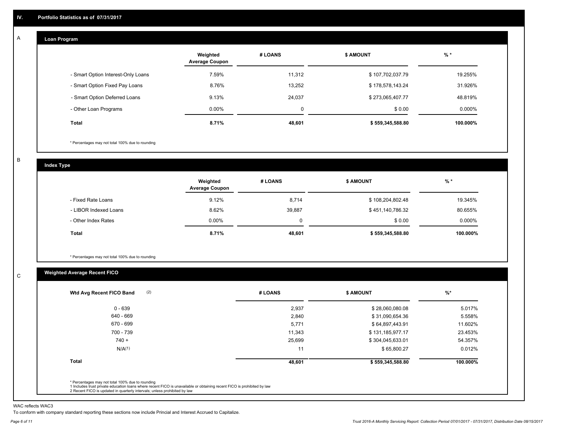#### **Loan Program**  A

|                                    | Weighted<br><b>Average Coupon</b> | # LOANS | <b>\$ AMOUNT</b> | $%$ *     |
|------------------------------------|-----------------------------------|---------|------------------|-----------|
| - Smart Option Interest-Only Loans | 7.59%                             | 11,312  | \$107,702,037.79 | 19.255%   |
| - Smart Option Fixed Pay Loans     | 8.76%                             | 13,252  | \$178,578,143.24 | 31.926%   |
| - Smart Option Deferred Loans      | 9.13%                             | 24.037  | \$273,065,407.77 | 48.819%   |
| - Other Loan Programs              | $0.00\%$                          | 0       | \$0.00           | $0.000\%$ |
| <b>Total</b>                       | 8.71%                             | 48,601  | \$559,345,588.80 | 100.000%  |

\* Percentages may not total 100% due to rounding

B

C

**Index Type**

|                       | Weighted<br><b>Average Coupon</b> | # LOANS | <b>\$ AMOUNT</b> | $%$ *    |
|-----------------------|-----------------------------------|---------|------------------|----------|
| - Fixed Rate Loans    | 9.12%                             | 8,714   | \$108,204,802.48 | 19.345%  |
| - LIBOR Indexed Loans | 8.62%                             | 39.887  | \$451,140,786.32 | 80.655%  |
| - Other Index Rates   | $0.00\%$                          |         | \$0.00           | 0.000%   |
| <b>Total</b>          | 8.71%                             | 48,601  | \$559,345,588.80 | 100.000% |

\* Percentages may not total 100% due to rounding

## **Weighted Average Recent FICO**

|                    |        | <b>\$ AMOUNT</b> | $%$ *    |
|--------------------|--------|------------------|----------|
| $0 - 639$          | 2,937  | \$28,060,080.08  | 5.017%   |
| 640 - 669          | 2,840  | \$31,090,654.36  | 5.558%   |
| 670 - 699          | 5,771  | \$64,897,443.91  | 11.602%  |
| 700 - 739          | 11,343 | \$131,185,977.17 | 23.453%  |
| $740 +$            | 25,699 | \$304,045,633.01 | 54.357%  |
| N/A <sup>(1)</sup> | 11     | \$65,800.27      | 0.012%   |
| <b>Total</b>       | 48,601 | \$559,345,588.80 | 100.000% |

WAC reflects WAC3

To conform with company standard reporting these sections now include Princial and Interest Accrued to Capitalize.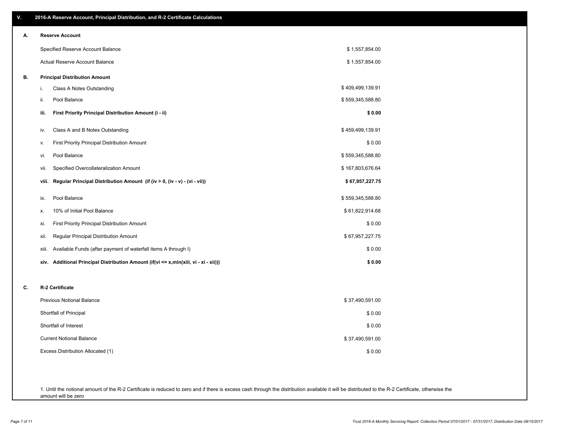| ۷. | 2016-A Reserve Account, Principal Distribution, and R-2 Certificate Calculations     |                  |
|----|--------------------------------------------------------------------------------------|------------------|
| А. | <b>Reserve Account</b>                                                               |                  |
|    | Specified Reserve Account Balance                                                    | \$1,557,854.00   |
|    | Actual Reserve Account Balance                                                       | \$1,557,854.00   |
| В. | <b>Principal Distribution Amount</b>                                                 |                  |
|    | i.<br>Class A Notes Outstanding                                                      | \$409,499,139.91 |
|    | Pool Balance<br>ii.                                                                  | \$559,345,588.80 |
|    | First Priority Principal Distribution Amount (i - ii)<br>iii.                        | \$0.00           |
|    | Class A and B Notes Outstanding<br>iv.                                               | \$459,499,139.91 |
|    | First Priority Principal Distribution Amount<br>۷.                                   | \$0.00           |
|    | Pool Balance<br>vi.                                                                  | \$559,345,588.80 |
|    | Specified Overcollateralization Amount<br>vii.                                       | \$167,803,676.64 |
|    | Regular Principal Distribution Amount (if (iv > 0, (iv - v) - (vi - vii))<br>viii.   | \$67,957,227.75  |
|    | Pool Balance<br>ix.                                                                  | \$559,345,588.80 |
|    | 10% of Initial Pool Balance<br>Х.                                                    | \$61,822,914.68  |
|    | <b>First Priority Principal Distribution Amount</b><br>xi.                           | \$0.00           |
|    | Regular Principal Distribution Amount<br>xii.                                        | \$67,957,227.75  |
|    | Available Funds (after payment of waterfall items A through I)<br>xiii.              | \$0.00           |
|    | xiv. Additional Principal Distribution Amount (if(vi <= x,min(xiii, vi - xi - xii))) | \$0.00           |
| C. | R-2 Certificate                                                                      |                  |
|    | <b>Previous Notional Balance</b>                                                     | \$37,490,591.00  |
|    | Shortfall of Principal                                                               | \$0.00           |
|    | Shortfall of Interest                                                                | \$0.00           |
|    | <b>Current Notional Balance</b>                                                      | \$37,490,591.00  |
|    | Excess Distribution Allocated (1)                                                    | \$0.00           |
|    |                                                                                      |                  |
|    |                                                                                      |                  |

1. Until the notional amount of the R-2 Certificate is reduced to zero and if there is excess cash through the distribution available it will be distributed to the R-2 Certificate, otherwise the amount will be zero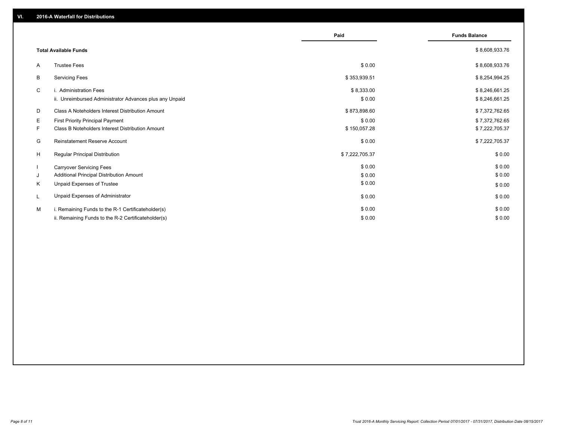|    |                                                         | Paid           | <b>Funds Balance</b> |
|----|---------------------------------------------------------|----------------|----------------------|
|    | <b>Total Available Funds</b>                            |                | \$8,608,933.76       |
| A  | <b>Trustee Fees</b>                                     | \$0.00         | \$8,608,933.76       |
| В  | <b>Servicing Fees</b>                                   | \$353,939.51   | \$8,254,994.25       |
| C  | i. Administration Fees                                  | \$8,333.00     | \$8,246,661.25       |
|    | ii. Unreimbursed Administrator Advances plus any Unpaid | \$0.00         | \$8,246,661.25       |
| D  | Class A Noteholders Interest Distribution Amount        | \$873,898.60   | \$7,372,762.65       |
| Е  | <b>First Priority Principal Payment</b>                 | \$0.00         | \$7,372,762.65       |
| F. | Class B Noteholders Interest Distribution Amount        | \$150,057.28   | \$7,222,705.37       |
| G  | Reinstatement Reserve Account                           | \$0.00         | \$7,222,705.37       |
| H  | <b>Regular Principal Distribution</b>                   | \$7,222,705.37 | \$0.00               |
|    | <b>Carryover Servicing Fees</b>                         | \$0.00         | \$0.00               |
| J  | Additional Principal Distribution Amount                | \$0.00         | \$0.00               |
| Κ  | Unpaid Expenses of Trustee                              | \$0.00         | \$0.00               |
| L  | Unpaid Expenses of Administrator                        | \$0.00         | \$0.00               |
| M  | i. Remaining Funds to the R-1 Certificateholder(s)      | \$0.00         | \$0.00               |
|    | ii. Remaining Funds to the R-2 Certificateholder(s)     | \$0.00         | \$0.00               |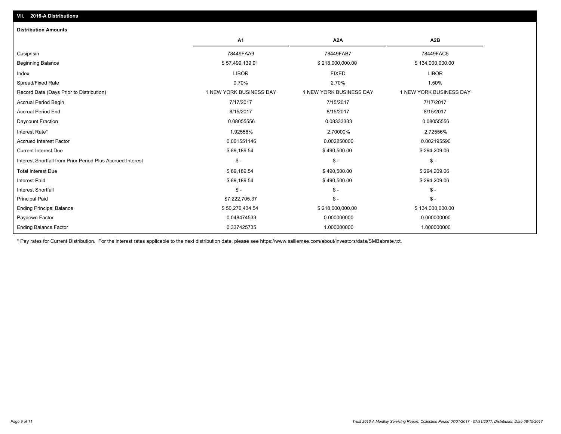| <b>Distribution Amounts</b>                                |                         |                         |                         |
|------------------------------------------------------------|-------------------------|-------------------------|-------------------------|
|                                                            | A <sub>1</sub>          | A2A                     | A2B                     |
| Cusip/Isin                                                 | 78449FAA9               | 78449FAB7               | 78449FAC5               |
| <b>Beginning Balance</b>                                   | \$57,499,139.91         | \$218,000,000.00        | \$134,000,000.00        |
| Index                                                      | <b>LIBOR</b>            | <b>FIXED</b>            | <b>LIBOR</b>            |
| Spread/Fixed Rate                                          | 0.70%                   | 2.70%                   | 1.50%                   |
| Record Date (Days Prior to Distribution)                   | 1 NEW YORK BUSINESS DAY | 1 NEW YORK BUSINESS DAY | 1 NEW YORK BUSINESS DAY |
| <b>Accrual Period Begin</b>                                | 7/17/2017               | 7/15/2017               | 7/17/2017               |
| <b>Accrual Period End</b>                                  | 8/15/2017               | 8/15/2017               | 8/15/2017               |
| Daycount Fraction                                          | 0.08055556              | 0.08333333              | 0.08055556              |
| Interest Rate*                                             | 1.92556%                | 2.70000%                | 2.72556%                |
| <b>Accrued Interest Factor</b>                             | 0.001551146             | 0.002250000             | 0.002195590             |
| <b>Current Interest Due</b>                                | \$89,189.54             | \$490,500.00            | \$294,209.06            |
| Interest Shortfall from Prior Period Plus Accrued Interest | $\mathsf{\$}$ -         | $\mathsf{\$}$ -         | $\frac{2}{3}$ -         |
| <b>Total Interest Due</b>                                  | \$89,189.54             | \$490,500.00            | \$294,209.06            |
| <b>Interest Paid</b>                                       | \$89,189.54             | \$490,500.00            | \$294,209.06            |
| <b>Interest Shortfall</b>                                  | $\mathsf{\$}$ -         | $$ -$                   | $$ -$                   |
| <b>Principal Paid</b>                                      | \$7,222,705.37          | $\mathsf{\$}$ -         | $\frac{2}{3}$ -         |
| <b>Ending Principal Balance</b>                            | \$50,276,434.54         | \$218,000,000.00        | \$134,000,000.00        |
| Paydown Factor                                             | 0.048474533             | 0.000000000             | 0.000000000             |
| <b>Ending Balance Factor</b>                               | 0.337425735             | 1.000000000             | 1.000000000             |
|                                                            |                         |                         |                         |

\* Pay rates for Current Distribution. For the interest rates applicable to the next distribution date, please see https://www.salliemae.com/about/investors/data/SMBabrate.txt.

**VII. 2016-A Distributions**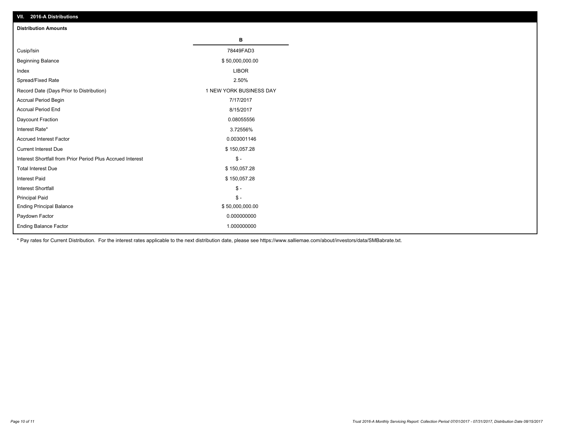| VII. 2016-A Distributions                                  |                         |
|------------------------------------------------------------|-------------------------|
| <b>Distribution Amounts</b>                                |                         |
|                                                            | в                       |
| Cusip/Isin                                                 | 78449FAD3               |
| <b>Beginning Balance</b>                                   | \$50,000,000.00         |
| Index                                                      | <b>LIBOR</b>            |
| Spread/Fixed Rate                                          | 2.50%                   |
| Record Date (Days Prior to Distribution)                   | 1 NEW YORK BUSINESS DAY |
| Accrual Period Begin                                       | 7/17/2017               |
| <b>Accrual Period End</b>                                  | 8/15/2017               |
| Daycount Fraction                                          | 0.08055556              |
| Interest Rate*                                             | 3.72556%                |
| <b>Accrued Interest Factor</b>                             | 0.003001146             |
| <b>Current Interest Due</b>                                | \$150,057.28            |
| Interest Shortfall from Prior Period Plus Accrued Interest | $$ -$                   |
| <b>Total Interest Due</b>                                  | \$150,057.28            |
| <b>Interest Paid</b>                                       | \$150,057.28            |
| <b>Interest Shortfall</b>                                  | $\frac{2}{3}$ -         |
| <b>Principal Paid</b>                                      | $\frac{2}{3}$ -         |
| <b>Ending Principal Balance</b>                            | \$50,000,000.00         |
| Paydown Factor                                             | 0.000000000             |
| <b>Ending Balance Factor</b>                               | 1.000000000             |

\* Pay rates for Current Distribution. For the interest rates applicable to the next distribution date, please see https://www.salliemae.com/about/investors/data/SMBabrate.txt.